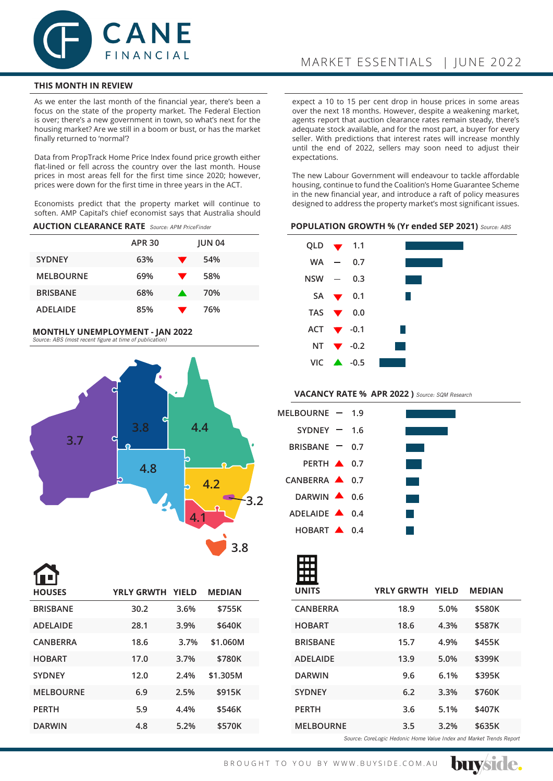

# **THIS MONTH IN REVIEW**

As we enter the last month of the financial year, there's been a focus on the state of the property market. The Federal Election is over; there's a new government in town, so what's next for the housing market? Are we still in a boom or bust, or has the market finally returned to 'normal'?

Data from PropTrack Home Price Index found price growth either flat-lined or fell across the country over the last month. House prices in most areas fell for the first time since 2020; however, prices were down for the first time in three years in the ACT.

Economists predict that the property market will continue to soften. AMP Capital's chief economist says that Australia should

## **AUCTION CLEARANCE RATE** Source: APM PriceFinder

|                  | <b>APR 30</b> |   | <b>JUN 04</b> |  |
|------------------|---------------|---|---------------|--|
| <b>SYDNEY</b>    | 63%           | ▼ | 54%           |  |
| <b>MELBOURNE</b> | 69%           | ▼ | 58%           |  |
| <b>BRISBANE</b>  | 68%           |   | 70%           |  |
| <b>ADELAIDE</b>  | 85%           |   | 76%           |  |

#### **MONTHLY UNEMPLOYMENT - JAN 2022**  Source: ABS (most recent figure at time of publication)



| T۴<br><b>HOUSES</b> | <b>YRLY GRWTH YIELD</b> |      | <b>MEDIAN</b> |  |
|---------------------|-------------------------|------|---------------|--|
| <b>BRISBANE</b>     | 30.2                    | 3.6% | \$755K        |  |
| <b>ADELAIDE</b>     | 28.1                    | 3.9% | \$640K        |  |
| <b>CANBERRA</b>     | 18.6                    | 3.7% | \$1.060M      |  |
| <b>HOBART</b>       | 17.0                    | 3.7% | \$780K        |  |
| <b>SYDNEY</b>       | 12.0                    | 2.4% | \$1.305M      |  |
| <b>MELBOURNE</b>    | 6.9                     | 2.5% | \$915K        |  |
| <b>PERTH</b>        | 5.9                     | 4.4% | \$546K        |  |
| <b>DARWIN</b>       | 4.8                     | 5.2% | \$570K        |  |
|                     |                         |      |               |  |

expect a 10 to 15 per cent drop in house prices in some areas over the next 18 months. However, despite a weakening market, agents report that auction clearance rates remain steady, there's adequate stock available, and for the most part, a buyer for every seller. With predictions that interest rates will increase monthly until the end of 2022, sellers may soon need to adjust their expectations.

The new Labour Government will endeavour to tackle affordable housing, continue to fund the Coalition's Home Guarantee Scheme in the new financial year, and introduce a raft of policy measures designed to address the property market's most significant issues.

#### **POPULATION GROWTH % (Yr ended SEP 2021)** Source: ABS

| QLD $\blacktriangledown$ 1.1  |                              |  |
|-------------------------------|------------------------------|--|
|                               | $WA - 0.7$                   |  |
| $NSW - 0.3$                   |                              |  |
|                               | $SA \rightarrow 0.1$         |  |
| TAS $\blacktriangledown$ 0.0  |                              |  |
| ACT $\blacktriangledown$ -0.1 |                              |  |
|                               | NT $\blacktriangledown$ -0.2 |  |
|                               | VIC $\triangle$ -0.5         |  |

# **VACANCY RATE % APR 2022 )** Source: SQM Research

| MELBOURNE $-$ 1.9        |  |  |
|--------------------------|--|--|
| SYDNEY $- 1.6$           |  |  |
| BRISBANE $-$ 0.7         |  |  |
| PERTH <b>4</b> 0.7       |  |  |
| CANBERRA $\triangle$ 0.7 |  |  |
| DARWIN $\triangle$ 0.6   |  |  |
| ADELAIDE 4 0.4           |  |  |
| HOBART $\triangle$ 0.4   |  |  |



| <b>UNITS</b>                                                         | YRLY GRWTH YIELD |      | <b>MEDIAN</b> |  |  |
|----------------------------------------------------------------------|------------------|------|---------------|--|--|
| <b>CANBERRA</b>                                                      | 18.9             | 5.0% | \$580K        |  |  |
| <b>HOBART</b>                                                        | 18.6             | 4.3% | \$587K        |  |  |
| <b>BRISBANE</b>                                                      | 15.7             | 4.9% | \$455K        |  |  |
| <b>ADELAIDE</b>                                                      | 13.9             | 5.0% | \$399K        |  |  |
| <b>DARWIN</b>                                                        | 9.6              | 6.1% | \$395K        |  |  |
| <b>SYDNEY</b>                                                        | 6.2              | 3.3% | \$760K        |  |  |
| <b>PERTH</b>                                                         | 3.6              | 5.1% | \$407K        |  |  |
| <b>MELBOURNE</b>                                                     | 3.5              | 3.2% | \$635K        |  |  |
| Source: Carol egic Hodonic Home Value Indox and Market Tronds Penert |                  |      |               |  |  |

Source: CoreLogic Hedonic Home Value Index and Market Trends Report